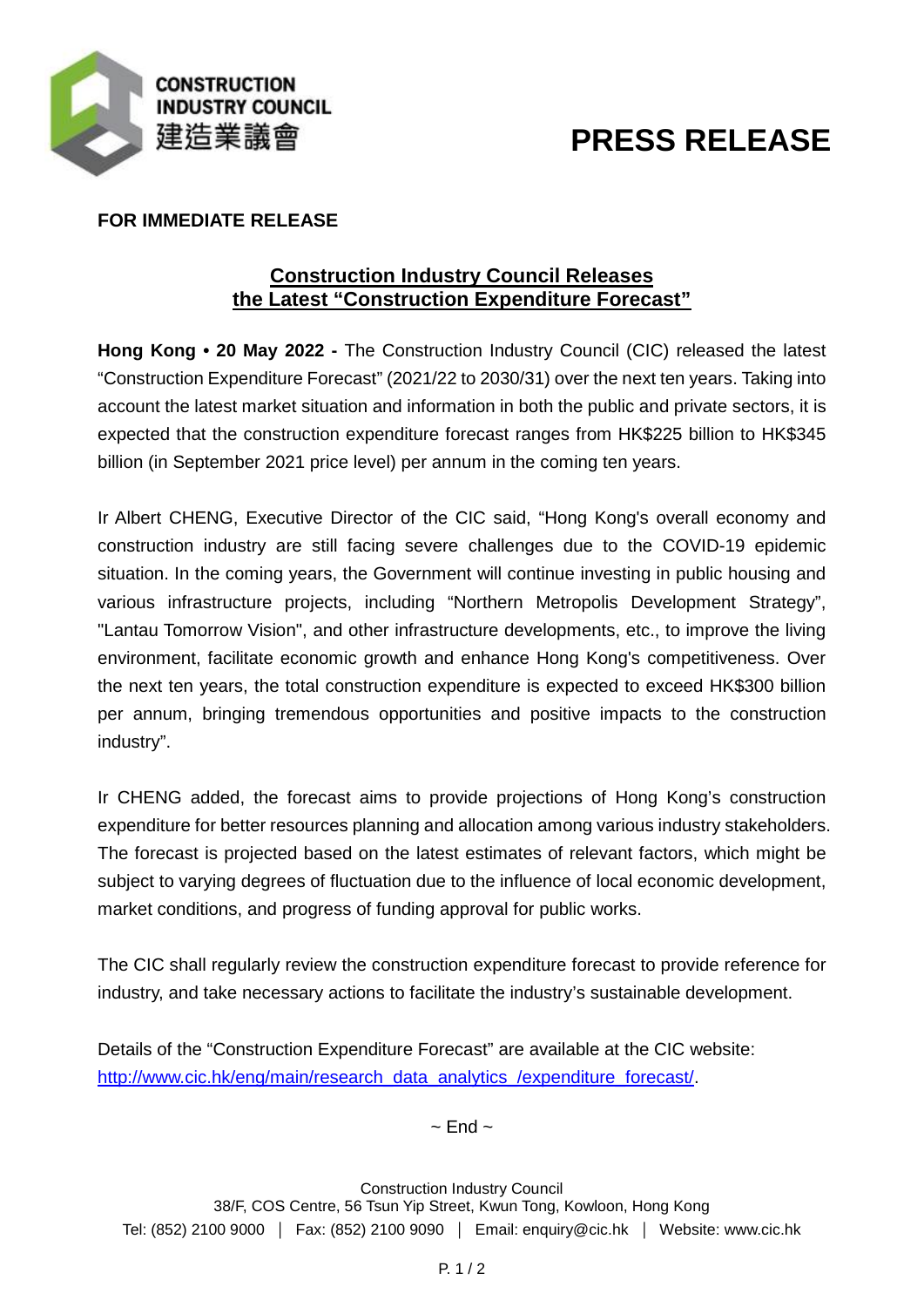

# **PRESS RELEASE**

## **FOR IMMEDIATE RELEASE**

## **Construction Industry Council Releases the Latest "Construction Expenditure Forecast"**

**Hong Kong • 20 May 2022 -** The Construction Industry Council (CIC) released the latest "Construction Expenditure Forecast" (2021/22 to 2030/31) over the next ten years. Taking into account the latest market situation and information in both the public and private sectors, it is expected that the construction expenditure forecast ranges from HK\$225 billion to HK\$345 billion (in September 2021 price level) per annum in the coming ten years.

Ir Albert CHENG, Executive Director of the CIC said, "Hong Kong's overall economy and construction industry are still facing severe challenges due to the COVID-19 epidemic situation. In the coming years, the Government will continue investing in public housing and various infrastructure projects, including "Northern Metropolis Development Strategy", "Lantau Tomorrow Vision", and other infrastructure developments, etc., to improve the living environment, facilitate economic growth and enhance Hong Kong's competitiveness. Over the next ten years, the total construction expenditure is expected to exceed HK\$300 billion per annum, bringing tremendous opportunities and positive impacts to the construction industry".

Ir CHENG added, the forecast aims to provide projections of Hong Kong's construction expenditure for better resources planning and allocation among various industry stakeholders. The forecast is projected based on the latest estimates of relevant factors, which might be subject to varying degrees of fluctuation due to the influence of local economic development, market conditions, and progress of funding approval for public works.

The CIC shall regularly review the construction expenditure forecast to provide reference for industry, and take necessary actions to facilitate the industry's sustainable development.

Details of the "Construction Expenditure Forecast" are available at the CIC website: [http://www.cic.hk/eng/main/research\\_data\\_analytics\\_/expenditure\\_forecast/.](http://www.cic.hk/eng/main/research_data_analytics_/expenditure_forecast/)

 $\sim$  End  $\sim$ 

Construction Industry Council 38/F, COS Centre, 56 Tsun Yip Street, Kwun Tong, Kowloon, Hong Kong Tel: (852) 2100 9000 | Fax: (852) 2100 9090 | Email: enquiry@cic.hk | Website: www.cic.hk